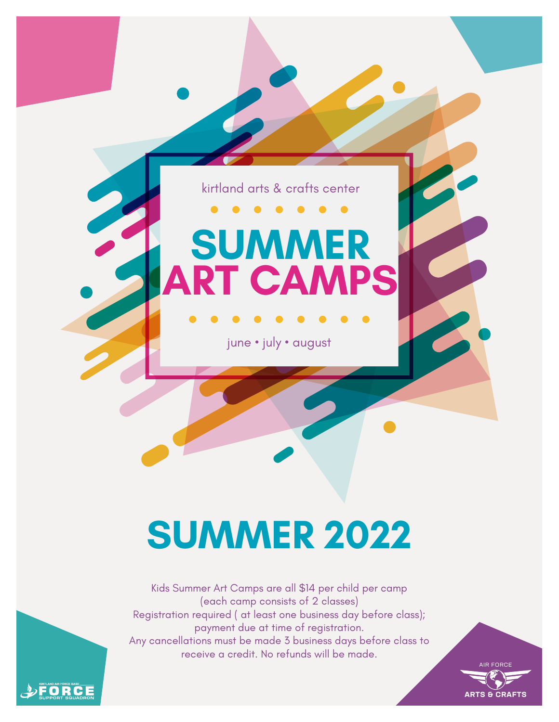

# **SUMMER 2022**

Kids Summer Art Camps are all \$14 per child per camp (each camp consists of 2 classes) Registration required ( at least one business day before class); payment due at time of registration. Any cancellations must be made 3 business days before class to receive a credit. No refunds will be made.

n D